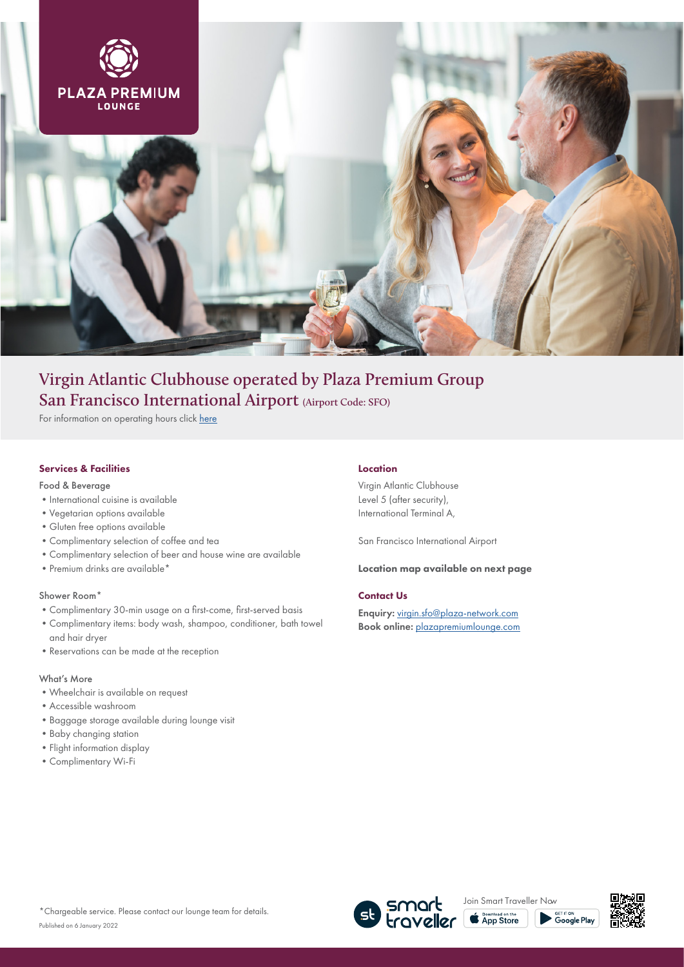

# **Virgin Atlantic Clubhouse operated by Plaza Premium Group San Francisco International Airport (Airport Code: SFO)**

For information on operating hours click [here](https://www.plazapremiumlounge.com/en-uk/find/americas/united-states-of-america/san-francisco/san-francisco-international-airport/virgin-atlantic-clubhouse-by-plaza-premium-group)

## Services & Facilities

Food & Beverage

- •International cuisine is available
- •Vegetarian options available
- •Gluten free options available
- •Complimentary selection of coffee and tea
- •Complimentary selection of beer and house wine are available
- Premium drinks are available<sup>\*</sup>

## Shower Room\*

- •Complimentary 30-min usage on a first-come, first-served basis
- •Complimentary items: body wash, shampoo, conditioner, bath towel and hair dryer
- •Reservations can be made at the reception

## What's More

- •Wheelchair is available on request
- •Accessible washroom
- •Baggage storage available during lounge visit
- •Baby changing station
- •Flight information display
- •Complimentary Wi-Fi

#### Location

Virgin Atlantic Clubhouse Level 5 (after security), International Terminal A,

San Francisco International Airport

### Location map available on next page

### Contact Us

Enquiry: virgin.sfo@plaza-network.com Book online: [plazapremiumlounge.com](https://www.plazapremiumlounge.com/en-uk/find/americas/united-states-of-america/san-francisco/san-francisco-international-airport/virgin-atlantic-clubhouse-by-plaza-premium-group)